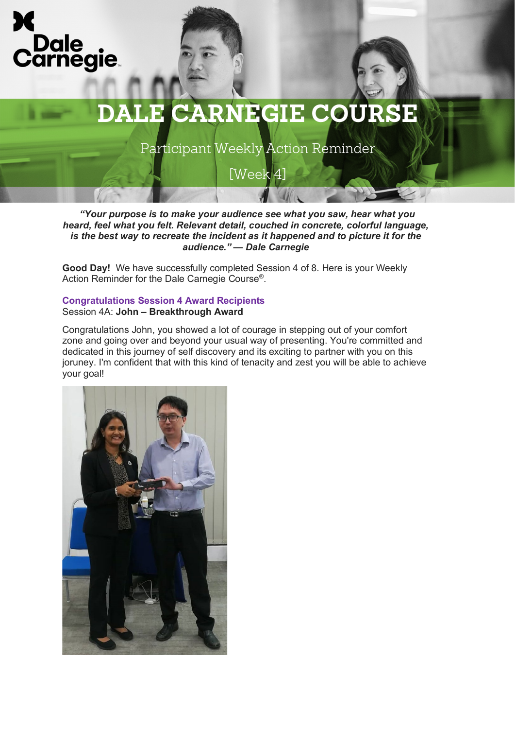



Participant Weekly Action Reminder

[Week 4]

*"Your purpose is to make your audience see what you saw, hear what you* 

*heard, feel what you felt. Relevant detail, couched in concrete, colorful language, is the best way to recreate the incident as it happened and to picture it for the audience." — Dale Carnegie*

**Good Day!** We have successfully completed Session 4 of 8. Here is your Weekly Action Reminder for the Dale Carnegie Course®.

### **Congratulations Session 4 Award Recipients** Session 4A: **John – Breakthrough Award**

Congratulations John, you showed a lot of courage in stepping out of your comfort zone and going over and beyond your usual way of presenting. You're committed and dedicated in this journey of self discovery and its exciting to partner with you on this joruney. I'm confident that with this kind of tenacity and zest you will be able to achieve your goal!

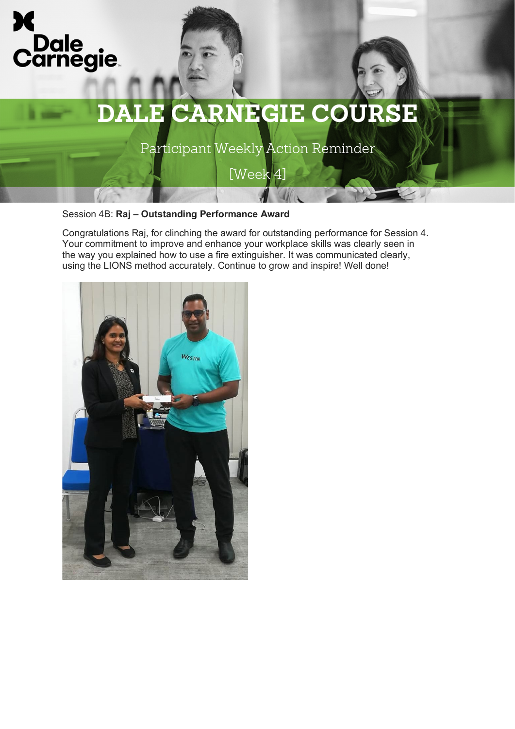



Participant Weekly Action Reminder

[Week 4]

Session 4B: **Raj – Outstanding Performance Award** 

Congratulations Raj, for clinching the award for outstanding performance for Session 4. Your commitment to improve and enhance your workplace skills was clearly seen in the way you explained how to use a fire extinguisher. It was communicated clearly, using the LIONS method accurately. Continue to grow and inspire! Well done!

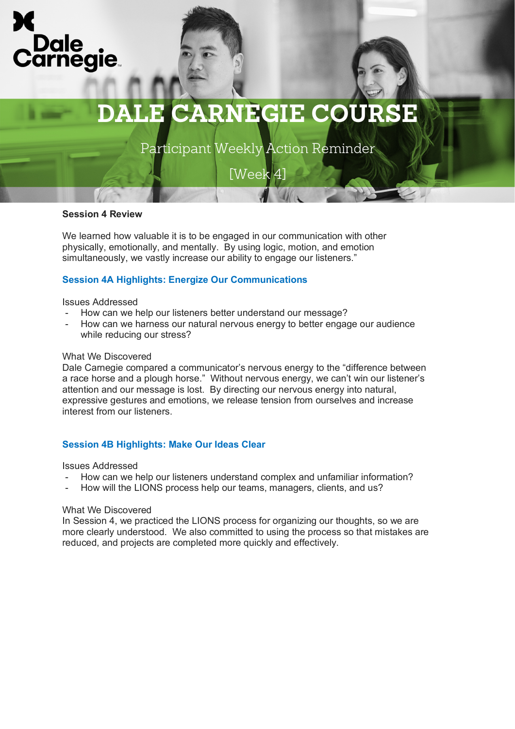

# **DALE CARNEGIE COURSE**

Participant Weekly Action Reminder

[Week 4]

## **Session 4 Review**

We learned how valuable it is to be engaged in our communication with other physically, emotionally, and mentally. By using logic, motion, and emotion simultaneously, we vastly increase our ability to engage our listeners."

## **Session 4A Highlights: Energize Our Communications**

#### Issues Addressed

- How can we help our listeners better understand our message?
- How can we harness our natural nervous energy to better engage our audience while reducing our stress?

### What We Discovered

Dale Carnegie compared a communicator's nervous energy to the "difference between a race horse and a plough horse." Without nervous energy, we can't win our listener's attention and our message is lost. By directing our nervous energy into natural, expressive gestures and emotions, we release tension from ourselves and increase interest from our listeners.

## **Session 4B Highlights: Make Our Ideas Clear**

Issues Addressed

- How can we help our listeners understand complex and unfamiliar information?
- How will the LIONS process help our teams, managers, clients, and us?

### What We Discovered

In Session 4, we practiced the LIONS process for organizing our thoughts, so we are more clearly understood. We also committed to using the process so that mistakes are reduced, and projects are completed more quickly and effectively.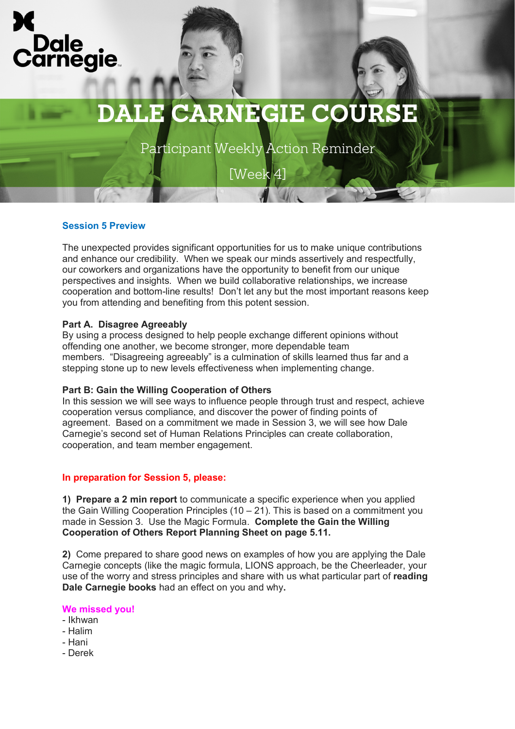

## **DALE CARNEGIE COURSE**

Participant Weekly Action Reminder

[Week 4]

## **Session 5 Preview**

The unexpected provides significant opportunities for us to make unique contributions and enhance our credibility. When we speak our minds assertively and respectfully, our coworkers and organizations have the opportunity to benefit from our unique perspectives and insights. When we build collaborative relationships, we increase cooperation and bottom-line results! Don't let any but the most important reasons keep you from attending and benefiting from this potent session.

### **Part A. Disagree Agreeably**

By using a process designed to help people exchange different opinions without offending one another, we become stronger, more dependable team members. "Disagreeing agreeably" is a culmination of skills learned thus far and a stepping stone up to new levels effectiveness when implementing change.

### **Part B: Gain the Willing Cooperation of Others**

In this session we will see ways to influence people through trust and respect, achieve cooperation versus compliance, and discover the power of finding points of agreement. Based on a commitment we made in Session 3, we will see how Dale Carnegie's second set of Human Relations Principles can create collaboration, cooperation, and team member engagement.

## **In preparation for Session 5, please:**

**1) Prepare a 2 min report** to communicate a specific experience when you applied the Gain Willing Cooperation Principles  $(10 - 21)$ . This is based on a commitment you made in Session 3. Use the Magic Formula. **Complete the Gain the Willing Cooperation of Others Report Planning Sheet on page 5.11.**

**2)** Come prepared to share good news on examples of how you are applying the Dale Carnegie concepts (like the magic formula, LIONS approach, be the Cheerleader, your use of the worry and stress principles and share with us what particular part of **reading Dale Carnegie books** had an effect on you and why**.**

### **We missed you!**

- Ikhwan
- Halim
- Hani
- Derek